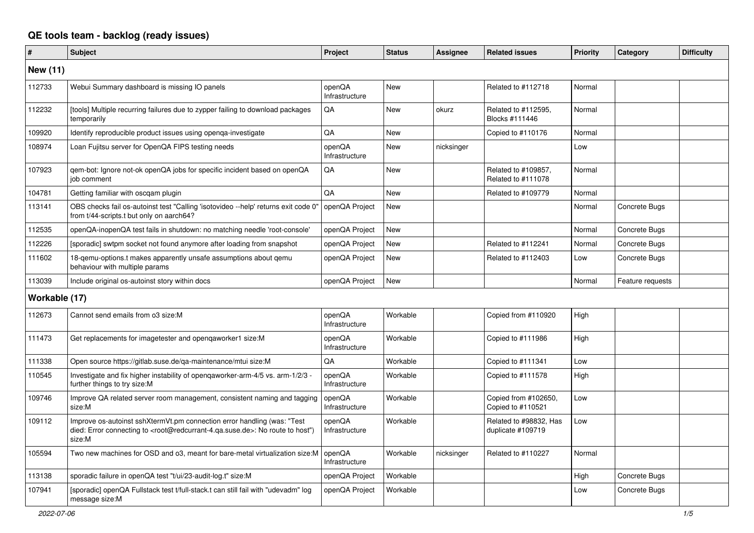## **QE tools team - backlog (ready issues)**

| #               | <b>Subject</b>                                                                                                                                                                                    | Project                  | <b>Status</b> | <b>Assignee</b> | <b>Related issues</b>                       | Priority | Category         | <b>Difficulty</b> |
|-----------------|---------------------------------------------------------------------------------------------------------------------------------------------------------------------------------------------------|--------------------------|---------------|-----------------|---------------------------------------------|----------|------------------|-------------------|
| <b>New (11)</b> |                                                                                                                                                                                                   |                          |               |                 |                                             |          |                  |                   |
| 112733          | Webui Summary dashboard is missing IO panels                                                                                                                                                      | openQA<br>Infrastructure | <b>New</b>    |                 | Related to #112718                          | Normal   |                  |                   |
| 112232          | [tools] Multiple recurring failures due to zypper failing to download packages<br>temporarily                                                                                                     | QA                       | <b>New</b>    | okurz           | Related to #112595.<br>Blocks #111446       | Normal   |                  |                   |
| 109920          | Identify reproducible product issues using openga-investigate                                                                                                                                     | QA                       | <b>New</b>    |                 | Copied to #110176                           | Normal   |                  |                   |
| 108974          | Loan Fujitsu server for OpenQA FIPS testing needs                                                                                                                                                 | openQA<br>Infrastructure | <b>New</b>    | nicksinger      |                                             | Low      |                  |                   |
| 107923          | gem-bot: Ignore not-ok openQA jobs for specific incident based on openQA<br>iob comment                                                                                                           | QA                       | <b>New</b>    |                 | Related to #109857,<br>Related to #111078   | Normal   |                  |                   |
| 104781          | Getting familiar with oscgam plugin                                                                                                                                                               | QA                       | <b>New</b>    |                 | Related to #109779                          | Normal   |                  |                   |
| 113141          | OBS checks fail os-autoinst test "Calling 'isotovideo --help' returns exit code 0"<br>from t/44-scripts.t but only on aarch64?                                                                    | openQA Project           | New           |                 |                                             | Normal   | Concrete Bugs    |                   |
| 112535          | openQA-inopenQA test fails in shutdown: no matching needle 'root-console'                                                                                                                         | openQA Project           | New           |                 |                                             | Normal   | Concrete Bugs    |                   |
| 112226          | [sporadic] swtpm socket not found anymore after loading from snapshot                                                                                                                             | openQA Project           | New           |                 | Related to #112241                          | Normal   | Concrete Bugs    |                   |
| 111602          | 18-qemu-options.t makes apparently unsafe assumptions about qemu<br>behaviour with multiple params                                                                                                | openQA Project           | New           |                 | Related to #112403                          | Low      | Concrete Bugs    |                   |
| 113039          | Include original os-autoinst story within docs                                                                                                                                                    | openQA Project           | New           |                 |                                             | Normal   | Feature requests |                   |
| Workable (17)   |                                                                                                                                                                                                   |                          |               |                 |                                             |          |                  |                   |
| 112673          | Cannot send emails from o3 size:M                                                                                                                                                                 | openQA<br>Infrastructure | Workable      |                 | Copied from #110920                         | High     |                  |                   |
| 111473          | Get replacements for imagetester and opengaworker1 size:M                                                                                                                                         | openQA<br>Infrastructure | Workable      |                 | Copied to #111986                           | High     |                  |                   |
| 111338          | Open source https://gitlab.suse.de/qa-maintenance/mtui size:M                                                                                                                                     | QA                       | Workable      |                 | Copied to #111341                           | Low      |                  |                   |
| 110545          | Investigate and fix higher instability of opengaworker-arm-4/5 vs. arm-1/2/3 -<br>further things to try size:M                                                                                    | openQA<br>Infrastructure | Workable      |                 | Copied to #111578                           | High     |                  |                   |
| 109746          | Improve QA related server room management, consistent naming and tagging<br>size:M                                                                                                                | openQA<br>Infrastructure | Workable      |                 | Copied from #102650,<br>Copied to #110521   | Low      |                  |                   |
| 109112          | Improve os-autoinst sshXtermVt.pm connection error handling (was: "Test<br>died: Error connecting to <root@redcurrant-4.qa.suse.de>: No route to host")<br/>size:M</root@redcurrant-4.qa.suse.de> | openQA<br>Infrastructure | Workable      |                 | Related to #98832, Has<br>duplicate #109719 | Low      |                  |                   |
| 105594          | Two new machines for OSD and o3, meant for bare-metal virtualization size:M                                                                                                                       | openQA<br>Infrastructure | Workable      | nicksinger      | Related to #110227                          | Normal   |                  |                   |
| 113138          | sporadic failure in openQA test "t/ui/23-audit-log.t" size:M                                                                                                                                      | openQA Project           | Workable      |                 |                                             | High     | Concrete Bugs    |                   |
| 107941          | [sporadic] openQA Fullstack test t/full-stack.t can still fail with "udevadm" log<br>message size:M                                                                                               | openQA Project           | Workable      |                 |                                             | Low      | Concrete Bugs    |                   |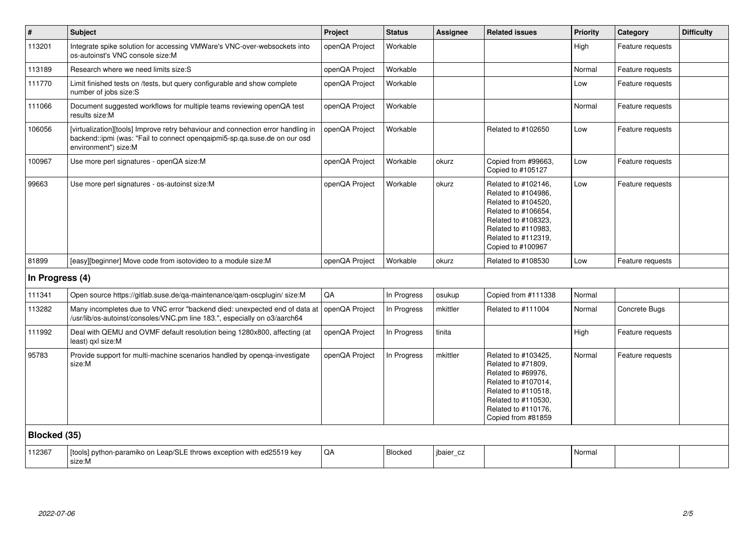| $\vert$ #       | <b>Subject</b>                                                                                                                                                                        | Project        | <b>Status</b> | <b>Assignee</b> | <b>Related issues</b>                                                                                                                                                              | <b>Priority</b> | Category         | <b>Difficulty</b> |
|-----------------|---------------------------------------------------------------------------------------------------------------------------------------------------------------------------------------|----------------|---------------|-----------------|------------------------------------------------------------------------------------------------------------------------------------------------------------------------------------|-----------------|------------------|-------------------|
| 113201          | Integrate spike solution for accessing VMWare's VNC-over-websockets into<br>os-autoinst's VNC console size:M                                                                          | openQA Project | Workable      |                 |                                                                                                                                                                                    | High            | Feature requests |                   |
| 113189          | Research where we need limits size:S                                                                                                                                                  | openQA Project | Workable      |                 |                                                                                                                                                                                    | Normal          | Feature requests |                   |
| 111770          | Limit finished tests on /tests, but query configurable and show complete<br>number of jobs size:S                                                                                     | openQA Project | Workable      |                 |                                                                                                                                                                                    | Low             | Feature requests |                   |
| 111066          | Document suggested workflows for multiple teams reviewing openQA test<br>results size:M                                                                                               | openQA Project | Workable      |                 |                                                                                                                                                                                    | Normal          | Feature requests |                   |
| 106056          | [virtualization][tools] Improve retry behaviour and connection error handling in<br>backend::ipmi (was: "Fail to connect opengaipmi5-sp.ga.suse.de on our osd<br>environment") size:M | openQA Project | Workable      |                 | Related to #102650                                                                                                                                                                 | Low             | Feature requests |                   |
| 100967          | Use more perl signatures - openQA size:M                                                                                                                                              | openQA Project | Workable      | okurz           | Copied from #99663,<br>Copied to #105127                                                                                                                                           | Low             | Feature requests |                   |
| 99663           | Use more perl signatures - os-autoinst size:M                                                                                                                                         | openQA Project | Workable      | okurz           | Related to #102146,<br>Related to #104986,<br>Related to #104520,<br>Related to #106654,<br>Related to #108323,<br>Related to #110983,<br>Related to #112319,<br>Copied to #100967 | Low             | Feature requests |                   |
| 81899           | [easy][beginner] Move code from isotovideo to a module size: M                                                                                                                        | openQA Project | Workable      | okurz           | Related to #108530                                                                                                                                                                 | Low             | Feature requests |                   |
| In Progress (4) |                                                                                                                                                                                       |                |               |                 |                                                                                                                                                                                    |                 |                  |                   |
| 111341          | Open source https://gitlab.suse.de/qa-maintenance/qam-oscplugin/ size:M                                                                                                               | QA             | In Progress   | osukup          | Copied from #111338                                                                                                                                                                | Normal          |                  |                   |
| 113282          | Many incompletes due to VNC error "backend died: unexpected end of data at<br>/usr/lib/os-autoinst/consoles/VNC.pm line 183.", especially on o3/aarch64                               | openQA Project | In Progress   | mkittler        | Related to #111004                                                                                                                                                                 | Normal          | Concrete Bugs    |                   |
| 111992          | Deal with QEMU and OVMF default resolution being 1280x800, affecting (at<br>least) gxl size:M                                                                                         | openQA Project | In Progress   | tinita          |                                                                                                                                                                                    | High            | Feature requests |                   |
| 95783           | Provide support for multi-machine scenarios handled by openqa-investigate<br>size:M                                                                                                   | openQA Project | In Progress   | mkittler        | Related to #103425,<br>Related to #71809.<br>Related to #69976,<br>Related to #107014,<br>Related to #110518,<br>Related to #110530,<br>Related to #110176,<br>Copied from #81859  | Normal          | Feature requests |                   |
| Blocked (35)    |                                                                                                                                                                                       |                |               |                 |                                                                                                                                                                                    |                 |                  |                   |
| 112367          | [tools] python-paramiko on Leap/SLE throws exception with ed25519 key<br>size:M                                                                                                       | QA             | Blocked       | jbaier cz       |                                                                                                                                                                                    | Normal          |                  |                   |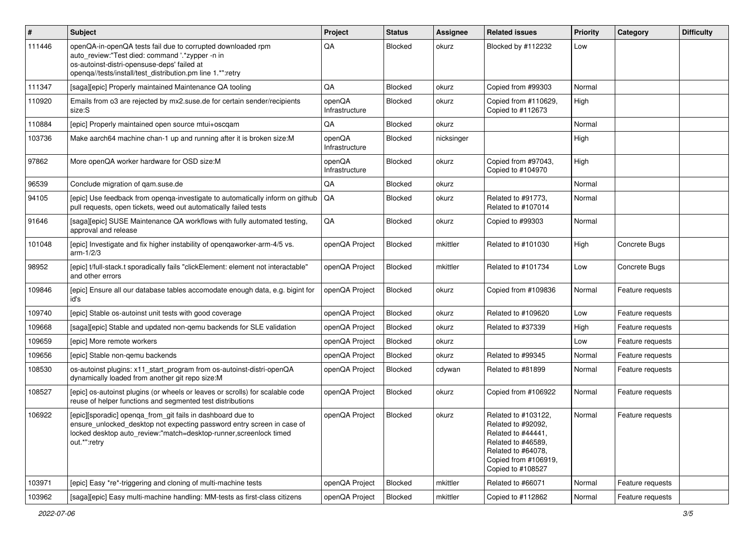| $\vert$ # | <b>Subject</b>                                                                                                                                                                                                              | Project                  | <b>Status</b>  | <b>Assignee</b> | <b>Related issues</b>                                                                                                                                    | <b>Priority</b> | Category         | <b>Difficulty</b> |
|-----------|-----------------------------------------------------------------------------------------------------------------------------------------------------------------------------------------------------------------------------|--------------------------|----------------|-----------------|----------------------------------------------------------------------------------------------------------------------------------------------------------|-----------------|------------------|-------------------|
| 111446    | openQA-in-openQA tests fail due to corrupted downloaded rpm<br>auto_review:"Test died: command '.*zypper -n in<br>os-autoinst-distri-opensuse-deps' failed at<br>openqa//tests/install/test_distribution.pm line 1.*":retry | QA                       | <b>Blocked</b> | okurz           | Blocked by #112232                                                                                                                                       | Low             |                  |                   |
| 111347    | [saga][epic] Properly maintained Maintenance QA tooling                                                                                                                                                                     | QA                       | Blocked        | okurz           | Copied from #99303                                                                                                                                       | Normal          |                  |                   |
| 110920    | Emails from 03 are rejected by mx2.suse.de for certain sender/recipients<br>size:S                                                                                                                                          | openQA<br>Infrastructure | Blocked        | okurz           | Copied from #110629,<br>Copied to #112673                                                                                                                | High            |                  |                   |
| 110884    | [epic] Properly maintained open source mtui+oscqam                                                                                                                                                                          | QA                       | Blocked        | okurz           |                                                                                                                                                          | Normal          |                  |                   |
| 103736    | Make aarch64 machine chan-1 up and running after it is broken size:M                                                                                                                                                        | openQA<br>Infrastructure | Blocked        | nicksinger      |                                                                                                                                                          | High            |                  |                   |
| 97862     | More openQA worker hardware for OSD size:M                                                                                                                                                                                  | openQA<br>Infrastructure | Blocked        | okurz           | Copied from #97043,<br>Copied to #104970                                                                                                                 | High            |                  |                   |
| 96539     | Conclude migration of gam.suse.de                                                                                                                                                                                           | QA                       | <b>Blocked</b> | okurz           |                                                                                                                                                          | Normal          |                  |                   |
| 94105     | [epic] Use feedback from openga-investigate to automatically inform on github<br>pull requests, open tickets, weed out automatically failed tests                                                                           | QA                       | <b>Blocked</b> | okurz           | Related to #91773,<br>Related to #107014                                                                                                                 | Normal          |                  |                   |
| 91646     | [saga][epic] SUSE Maintenance QA workflows with fully automated testing,<br>approval and release                                                                                                                            | QA                       | Blocked        | okurz           | Copied to #99303                                                                                                                                         | Normal          |                  |                   |
| 101048    | [epic] Investigate and fix higher instability of openqaworker-arm-4/5 vs.<br>$arm-1/2/3$                                                                                                                                    | openQA Project           | Blocked        | mkittler        | Related to #101030                                                                                                                                       | High            | Concrete Bugs    |                   |
| 98952     | [epic] t/full-stack.t sporadically fails "clickElement: element not interactable"<br>and other errors                                                                                                                       | openQA Project           | Blocked        | mkittler        | Related to #101734                                                                                                                                       | Low             | Concrete Bugs    |                   |
| 109846    | [epic] Ensure all our database tables accomodate enough data, e.g. bigint for<br>id's                                                                                                                                       | openQA Project           | Blocked        | okurz           | Copied from #109836                                                                                                                                      | Normal          | Feature requests |                   |
| 109740    | [epic] Stable os-autoinst unit tests with good coverage                                                                                                                                                                     | openQA Project           | Blocked        | okurz           | Related to #109620                                                                                                                                       | Low             | Feature requests |                   |
| 109668    | [saga][epic] Stable and updated non-gemu backends for SLE validation                                                                                                                                                        | openQA Project           | Blocked        | okurz           | Related to #37339                                                                                                                                        | High            | Feature requests |                   |
| 109659    | [epic] More remote workers                                                                                                                                                                                                  | openQA Project           | Blocked        | okurz           |                                                                                                                                                          | Low             | Feature requests |                   |
| 109656    | [epic] Stable non-gemu backends                                                                                                                                                                                             | openQA Project           | Blocked        | okurz           | Related to #99345                                                                                                                                        | Normal          | Feature requests |                   |
| 108530    | os-autoinst plugins: x11_start_program from os-autoinst-distri-openQA<br>dynamically loaded from another git repo size:M                                                                                                    | openQA Project           | Blocked        | cdywan          | Related to #81899                                                                                                                                        | Normal          | Feature requests |                   |
| 108527    | [epic] os-autoinst plugins (or wheels or leaves or scrolls) for scalable code<br>reuse of helper functions and segmented test distributions                                                                                 | openQA Project           | Blocked        | okurz           | Copied from #106922                                                                                                                                      | Normal          | Feature requests |                   |
| 106922    | [epic][sporadic] openqa_from_git fails in dashboard due to<br>ensure_unlocked_desktop not expecting password entry screen in case of<br>locked desktop auto_review:"match=desktop-runner,screenlock timed<br>out.*":retry   | openQA Project           | Blocked        | okurz           | Related to #103122,<br>Related to #92092,<br>Related to #44441,<br>Related to #46589,<br>Related to #64078,<br>Copied from #106919,<br>Copied to #108527 | Normal          | Feature requests |                   |
| 103971    | [epic] Easy *re*-triggering and cloning of multi-machine tests                                                                                                                                                              | openQA Project           | Blocked        | mkittler        | Related to #66071                                                                                                                                        | Normal          | Feature requests |                   |
| 103962    | [saga][epic] Easy multi-machine handling: MM-tests as first-class citizens                                                                                                                                                  | openQA Project           | Blocked        | mkittler        | Copied to #112862                                                                                                                                        | Normal          | Feature requests |                   |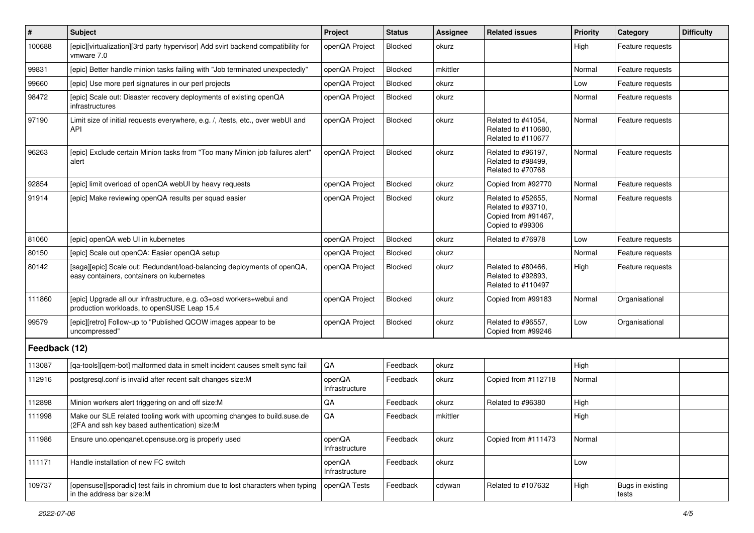| $\vert$ #     | Subject                                                                                                                   | Project                  | <b>Status</b> | <b>Assignee</b> | <b>Related issues</b>                                                               | <b>Priority</b> | Category                  | <b>Difficulty</b> |
|---------------|---------------------------------------------------------------------------------------------------------------------------|--------------------------|---------------|-----------------|-------------------------------------------------------------------------------------|-----------------|---------------------------|-------------------|
| 100688        | [epic][virtualization][3rd party hypervisor] Add svirt backend compatibility for<br>vmware 7.0                            | openQA Project           | Blocked       | okurz           |                                                                                     | High            | Feature requests          |                   |
| 99831         | [epic] Better handle minion tasks failing with "Job terminated unexpectedly"                                              | openQA Project           | Blocked       | mkittler        |                                                                                     | Normal          | Feature requests          |                   |
| 99660         | [epic] Use more perl signatures in our perl projects                                                                      | openQA Project           | Blocked       | okurz           |                                                                                     | Low             | Feature requests          |                   |
| 98472         | [epic] Scale out: Disaster recovery deployments of existing openQA<br>infrastructures                                     | openQA Project           | Blocked       | okurz           |                                                                                     | Normal          | Feature requests          |                   |
| 97190         | Limit size of initial requests everywhere, e.g. /, /tests, etc., over webUI and<br><b>API</b>                             | openQA Project           | Blocked       | okurz           | Related to #41054,<br>Related to #110680,<br>Related to #110677                     | Normal          | Feature requests          |                   |
| 96263         | [epic] Exclude certain Minion tasks from "Too many Minion job failures alert"<br>alert                                    | openQA Project           | Blocked       | okurz           | Related to #96197,<br>Related to #98499.<br>Related to #70768                       | Normal          | Feature requests          |                   |
| 92854         | [epic] limit overload of openQA webUI by heavy requests                                                                   | openQA Project           | Blocked       | okurz           | Copied from #92770                                                                  | Normal          | Feature requests          |                   |
| 91914         | [epic] Make reviewing openQA results per squad easier                                                                     | openQA Project           | Blocked       | okurz           | Related to #52655.<br>Related to #93710,<br>Copied from #91467,<br>Copied to #99306 | Normal          | Feature requests          |                   |
| 81060         | [epic] openQA web UI in kubernetes                                                                                        | openQA Project           | Blocked       | okurz           | Related to #76978                                                                   | Low             | Feature requests          |                   |
| 80150         | [epic] Scale out openQA: Easier openQA setup                                                                              | openQA Project           | Blocked       | okurz           |                                                                                     | Normal          | Feature requests          |                   |
| 80142         | [saga][epic] Scale out: Redundant/load-balancing deployments of openQA,<br>easy containers, containers on kubernetes      | openQA Project           | Blocked       | okurz           | Related to #80466,<br>Related to #92893,<br>Related to #110497                      | High            | Feature requests          |                   |
| 111860        | [epic] Upgrade all our infrastructure, e.g. o3+osd workers+webui and<br>production workloads, to openSUSE Leap 15.4       | openQA Project           | Blocked       | okurz           | Copied from #99183                                                                  | Normal          | Organisational            |                   |
| 99579         | [epic][retro] Follow-up to "Published QCOW images appear to be<br>uncompressed"                                           | openQA Project           | Blocked       | okurz           | Related to #96557,<br>Copied from #99246                                            | Low             | Organisational            |                   |
| Feedback (12) |                                                                                                                           |                          |               |                 |                                                                                     |                 |                           |                   |
| 113087        | [qa-tools][qem-bot] malformed data in smelt incident causes smelt sync fail                                               | QA                       | Feedback      | okurz           |                                                                                     | High            |                           |                   |
| 112916        | postgresql.conf is invalid after recent salt changes size:M                                                               | openQA<br>Infrastructure | Feedback      | okurz           | Copied from #112718                                                                 | Normal          |                           |                   |
| 112898        | Minion workers alert triggering on and off size:M                                                                         | QA                       | Feedback      | okurz           | Related to #96380                                                                   | High            |                           |                   |
| 111998        | Make our SLE related tooling work with upcoming changes to build suse de<br>(2FA and ssh key based authentication) size:M | QA                       | Feedback      | mkittler        |                                                                                     | High            |                           |                   |
| 111986        | Ensure uno openganet opensuse org is properly used                                                                        | openQA<br>Infrastructure | Feedback      | okurz           | Copied from #111473                                                                 | Normal          |                           |                   |
| 111171        | Handle installation of new FC switch                                                                                      | openQA<br>Infrastructure | Feedback      | okurz           |                                                                                     | Low             |                           |                   |
| 109737        | [opensuse][sporadic] test fails in chromium due to lost characters when typing<br>in the address bar size:M               | openQA Tests             | Feedback      | cdywan          | Related to #107632                                                                  | High            | Bugs in existing<br>tests |                   |